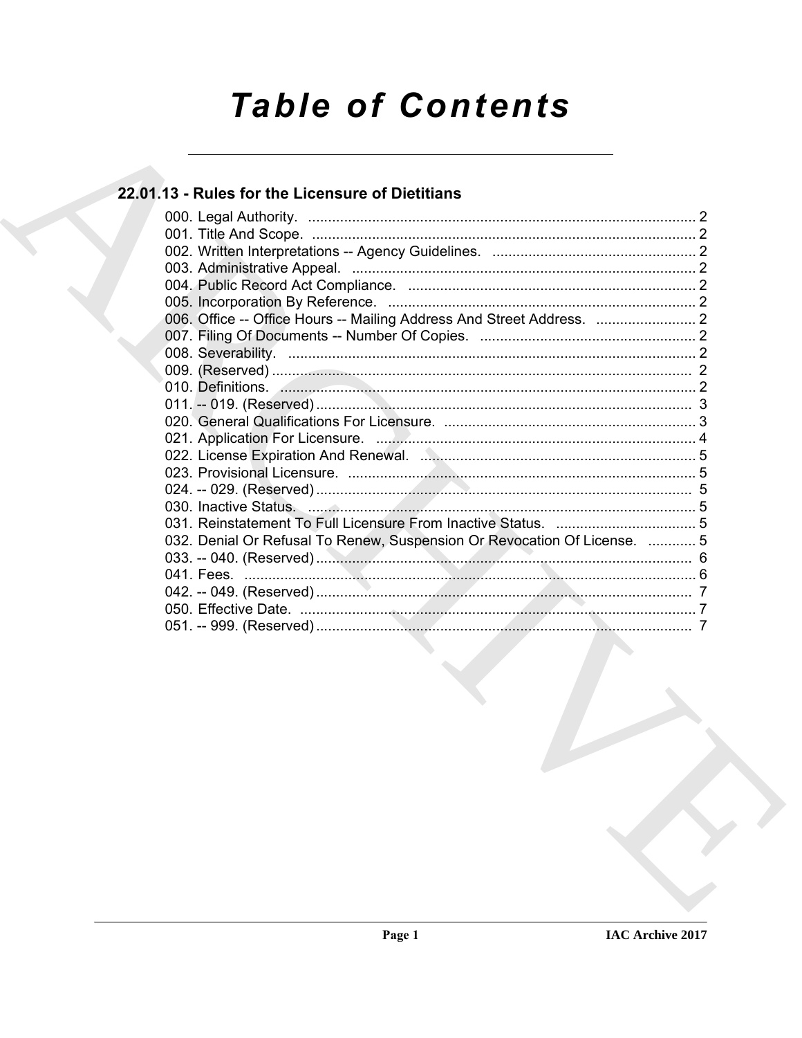# **Table of Contents**

# 22.01.13 - Rules for the Licensure of Dietitians

| 006. Office -- Office Hours -- Mailing Address And Street Address.       |  |
|--------------------------------------------------------------------------|--|
|                                                                          |  |
|                                                                          |  |
|                                                                          |  |
|                                                                          |  |
|                                                                          |  |
|                                                                          |  |
|                                                                          |  |
|                                                                          |  |
|                                                                          |  |
|                                                                          |  |
|                                                                          |  |
|                                                                          |  |
| 032. Denial Or Refusal To Renew, Suspension Or Revocation Of License.  5 |  |
|                                                                          |  |
|                                                                          |  |
|                                                                          |  |
|                                                                          |  |
|                                                                          |  |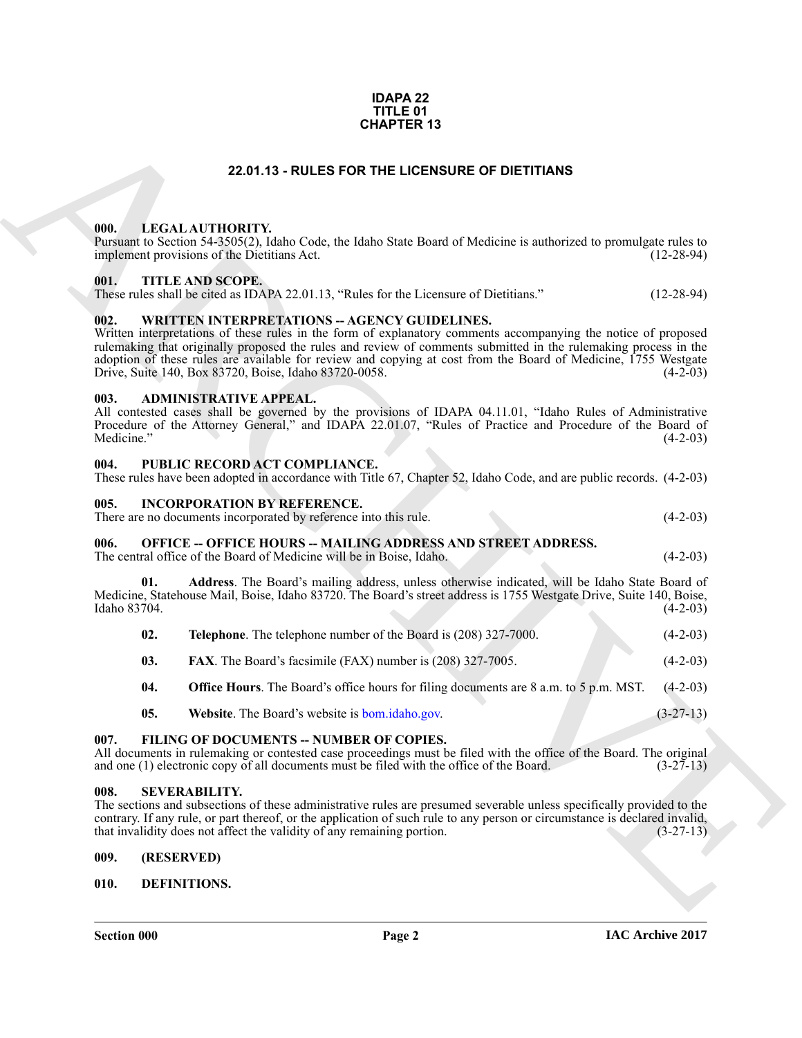#### **IDAPA 22 TITLE 01 CHAPTER 13**

#### **22.01.13 - RULES FOR THE LICENSURE OF DIETITIANS**

#### <span id="page-1-1"></span><span id="page-1-0"></span>**000. LEGAL AUTHORITY.**

#### <span id="page-1-2"></span>**001. TITLE AND SCOPE.**

#### <span id="page-1-3"></span>002. WRITTEN INTERPRETATIONS -- AGENCY GUIDELINES.

#### <span id="page-1-4"></span>**003. ADMINISTRATIVE APPEAL.**

#### <span id="page-1-5"></span>**004. PUBLIC RECORD ACT COMPLIANCE.**

| These rules have been adopted in accordance with Title 67, Chapter 52, Idaho Code, and are public records. (4-2-03) |  |  |
|---------------------------------------------------------------------------------------------------------------------|--|--|
|                                                                                                                     |  |  |

#### <span id="page-1-6"></span>**005. INCORPORATION BY REFERENCE.**

#### <span id="page-1-7"></span>**006. OFFICE -- OFFICE HOURS -- MAILING ADDRESS AND STREET ADDRESS.**

|                    |            |                      |                                                                                                                                      | <b>CHAPTER 13</b> |                                                                      |                                                                                                                                                                                                                                                                                                                                                     |              |  |
|--------------------|------------|----------------------|--------------------------------------------------------------------------------------------------------------------------------------|-------------------|----------------------------------------------------------------------|-----------------------------------------------------------------------------------------------------------------------------------------------------------------------------------------------------------------------------------------------------------------------------------------------------------------------------------------------------|--------------|--|
|                    |            |                      |                                                                                                                                      |                   | 22.01.13 - RULES FOR THE LICENSURE OF DIETITIANS                     |                                                                                                                                                                                                                                                                                                                                                     |              |  |
| 000.               |            | LEGAL AUTHORITY.     | implement provisions of the Dietitians Act.                                                                                          |                   |                                                                      | Pursuant to Section 54-3505(2), Idaho Code, the Idaho State Board of Medicine is authorized to promulgate rules to                                                                                                                                                                                                                                  | $(12-28-94)$ |  |
| 001.               |            | TITLE AND SCOPE.     | These rules shall be cited as IDAPA 22.01.13, "Rules for the Licensure of Dietitians."                                               |                   |                                                                      |                                                                                                                                                                                                                                                                                                                                                     | $(12-28-94)$ |  |
| 002.               |            |                      | <b>WRITTEN INTERPRETATIONS - AGENCY GUIDELINES.</b><br>Drive, Suite 140, Box 83720, Boise, Idaho 83720-0058.                         |                   |                                                                      | Written interpretations of these rules in the form of explanatory comments accompanying the notice of proposed<br>rulemaking that originally proposed the rules and review of comments submitted in the rulemaking process in the<br>adoption of these rules are available for review and copying at cost from the Board of Medicine, 1755 Westgate | $(4-2-03)$   |  |
| 003.<br>Medicine." |            |                      | <b>ADMINISTRATIVE APPEAL.</b>                                                                                                        |                   |                                                                      | All contested cases shall be governed by the provisions of IDAPA 04.11.01, "Idaho Rules of Administrative<br>Procedure of the Attorney General," and IDAPA 22.01.07, "Rules of Practice and Procedure of the Board of                                                                                                                               | $(4-2-03)$   |  |
| 004.               |            |                      | PUBLIC RECORD ACT COMPLIANCE.                                                                                                        |                   |                                                                      | These rules have been adopted in accordance with Title 67, Chapter 52, Idaho Code, and are public records. (4-2-03)                                                                                                                                                                                                                                 |              |  |
| 005.               |            |                      | <b>INCORPORATION BY REFERENCE.</b><br>There are no documents incorporated by reference into this rule.                               |                   |                                                                      |                                                                                                                                                                                                                                                                                                                                                     | $(4-2-03)$   |  |
| 006.               |            |                      | The central office of the Board of Medicine will be in Boise, Idaho.                                                                 |                   | <b>OFFICE -- OFFICE HOURS -- MAILING ADDRESS AND STREET ADDRESS.</b> |                                                                                                                                                                                                                                                                                                                                                     | $(4-2-03)$   |  |
| Idaho 83704.       | 01.        |                      |                                                                                                                                      |                   |                                                                      | Address. The Board's mailing address, unless otherwise indicated, will be Idaho State Board of<br>Medicine, Statehouse Mail, Boise, Idaho 83720. The Board's street address is 1755 Westgate Drive, Suite 140, Boise,                                                                                                                               | $(4-2-03)$   |  |
|                    | 02.        |                      | Telephone. The telephone number of the Board is (208) 327-7000.                                                                      |                   |                                                                      |                                                                                                                                                                                                                                                                                                                                                     | $(4-2-03)$   |  |
|                    | 03.        |                      | <b>FAX</b> . The Board's facsimile (FAX) number is (208) 327-7005.                                                                   |                   |                                                                      |                                                                                                                                                                                                                                                                                                                                                     | $(4-2-03)$   |  |
|                    | 04.        |                      |                                                                                                                                      |                   |                                                                      | <b>Office Hours</b> . The Board's office hours for filing documents are 8 a.m. to 5 p.m. MST.                                                                                                                                                                                                                                                       | $(4-2-03)$   |  |
|                    | 05.        |                      | Website. The Board's website is <b>bom.idaho.gov.</b>                                                                                |                   |                                                                      |                                                                                                                                                                                                                                                                                                                                                     | $(3-27-13)$  |  |
| 007.               |            |                      | FILING OF DOCUMENTS -- NUMBER OF COPIES.<br>and one (1) electronic copy of all documents must be filed with the office of the Board. |                   |                                                                      | All documents in rulemaking or contested case proceedings must be filed with the office of the Board. The original                                                                                                                                                                                                                                  | $(3-27-13)$  |  |
| 008.               |            | <b>SEVERABILITY.</b> | that invalidity does not affect the validity of any remaining portion.                                                               |                   |                                                                      | The sections and subsections of these administrative rules are presumed severable unless specifically provided to the<br>contrary. If any rule, or part thereof, or the application of such rule to any person or circumstance is declared invalid,                                                                                                 | $(3-27-13)$  |  |
| 009.               | (RESERVED) |                      |                                                                                                                                      |                   |                                                                      |                                                                                                                                                                                                                                                                                                                                                     |              |  |
| 010.               |            | DEFINITIONS.         |                                                                                                                                      |                   |                                                                      |                                                                                                                                                                                                                                                                                                                                                     |              |  |
|                    |            |                      |                                                                                                                                      |                   |                                                                      |                                                                                                                                                                                                                                                                                                                                                     |              |  |

## <span id="page-1-13"></span>**05.** Website. The Board's website is bom.idaho.gov. (3-27-13)

#### <span id="page-1-8"></span>**007. FILING OF DOCUMENTS -- NUMBER OF COPIES.**

#### <span id="page-1-14"></span><span id="page-1-9"></span>**008. SEVERABILITY.**

#### <span id="page-1-10"></span>**009. (RESERVED)**

#### <span id="page-1-12"></span><span id="page-1-11"></span>**010. DEFINITIONS.**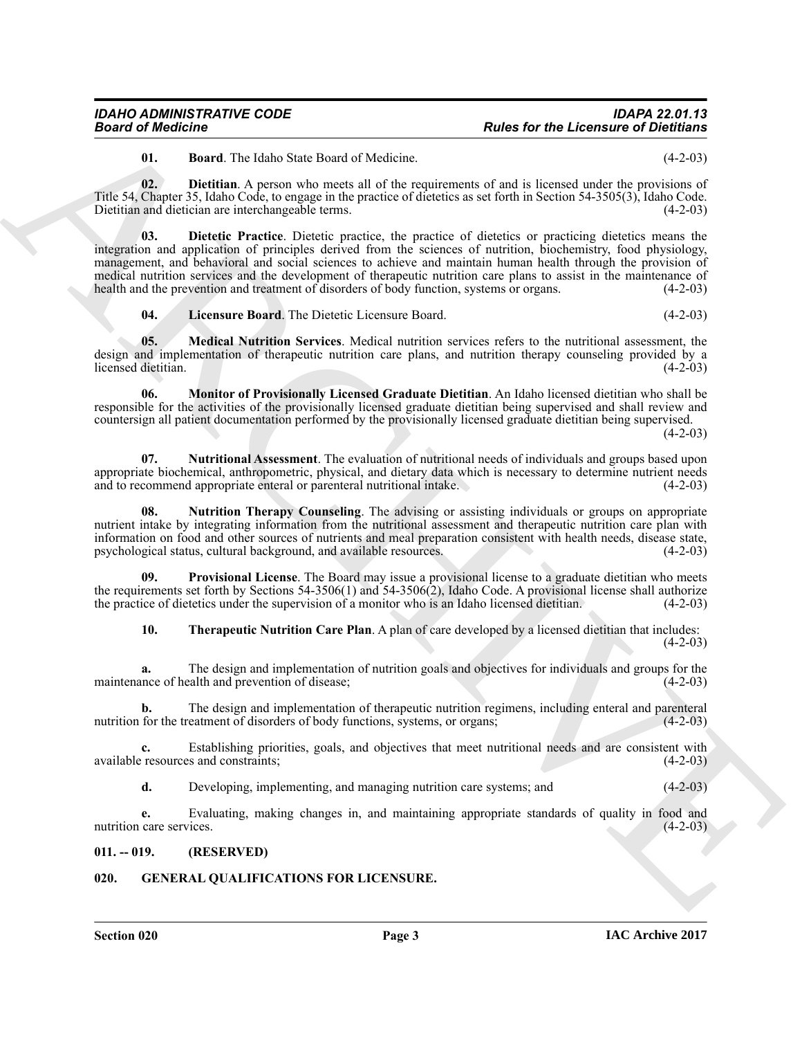<span id="page-2-4"></span><span id="page-2-3"></span><span id="page-2-2"></span>**01. Board**. The Idaho State Board of Medicine. (4-2-03)

**02. Dietitian**. A person who meets all of the requirements of and is licensed under the provisions of Title 54, Chapter 35, Idaho Code, to engage in the practice of dietetics as set forth in Section 54-3505(3), Idaho Code. Dietitian and dietician are interchangeable terms. (4-2-03)

**Fourier of Neutrines**<br> **Andre for the Licenster's of Distribution**<br> **ARCHIVE STRATE STRATE STRATE STRATE STRATE STRATE STRATE STRATE STRATE STRATE STRATE STRATE STRATE STRATE STRATE STRATE STRATE STRATE STRATE STRATE STR 03. Dietetic Practice**. Dietetic practice, the practice of dietetics or practicing dietetics means the integration and application of principles derived from the sciences of nutrition, biochemistry, food physiology, management, and behavioral and social sciences to achieve and maintain human health through the provision of medical nutrition services and the development of therapeutic nutrition care plans to assist in the maintenance of health and the prevention and treatment of disorders of body function, systems or organs. (4-2-03) health and the prevention and treatment of disorders of body function, systems or organs.

<span id="page-2-7"></span><span id="page-2-6"></span><span id="page-2-5"></span>**04. Licensure Board**. The Dietetic Licensure Board. (4-2-03)

**05. Medical Nutrition Services**. Medical nutrition services refers to the nutritional assessment, the design and implementation of therapeutic nutrition care plans, and nutrition therapy counseling provided by a licensed dietitian. (4-2-03) licensed dietitian.

**06. Monitor of Provisionally Licensed Graduate Dietitian**. An Idaho licensed dietitian who shall be responsible for the activities of the provisionally licensed graduate dietitian being supervised and shall review and countersign all patient documentation performed by the provisionally licensed graduate dietitian being supervised.

 $(4-2-03)$ 

<span id="page-2-9"></span>**07. Nutritional Assessment**. The evaluation of nutritional needs of individuals and groups based upon appropriate biochemical, anthropometric, physical, and dietary data which is necessary to determine nutrient needs<br>and to recommend appropriate enteral or parenteral nutritional intake. and to recommend appropriate enteral or parenteral nutritional intake.

<span id="page-2-8"></span>**08. Nutrition Therapy Counseling**. The advising or assisting individuals or groups on appropriate nutrient intake by integrating information from the nutritional assessment and therapeutic nutrition care plan with information on food and other sources of nutrients and meal preparation consistent with health needs, disease state, psychological status, cultural background, and available resources. (4-2-03) psychological status, cultural background, and available resources.

**Provisional License**. The Board may issue a provisional license to a graduate dietitian who meets the requirements set forth by Sections 54-3506(1) and 54-3506(2), Idaho Code. A provisional license shall authorize the practice of dietetics under the supervision of a monitor who is an Idaho licensed dietitian.  $(4-2-03$ the practice of dietetics under the supervision of a monitor who is an Idaho licensed dietitian.

<span id="page-2-11"></span><span id="page-2-10"></span>**10. Therapeutic Nutrition Care Plan**. A plan of care developed by a licensed dietitian that includes:  $(4-2-03)$ 

**a.** The design and implementation of nutrition goals and objectives for individuals and groups for the nnce of health and prevention of disease: (4-2-03) maintenance of health and prevention of disease;

**b.** The design and implementation of therapeutic nutrition regimens, including enteral and parenteral for the treatment of disorders of body functions, systems, or organs; (4-2-03) nutrition for the treatment of disorders of body functions, systems, or organs;

**c.** Establishing priorities, goals, and objectives that meet nutritional needs and are consistent with resources and constraints; (4-2-03) available resources and constraints;

**d.** Developing, implementing, and managing nutrition care systems; and (4-2-03)

**e.** Evaluating, making changes in, and maintaining appropriate standards of quality in food and nutrition care services. (4-2-03)

#### <span id="page-2-0"></span>**011. -- 019. (RESERVED)**

### <span id="page-2-12"></span><span id="page-2-1"></span>**020. GENERAL QUALIFICATIONS FOR LICENSURE.**

**Section 020 Page 3**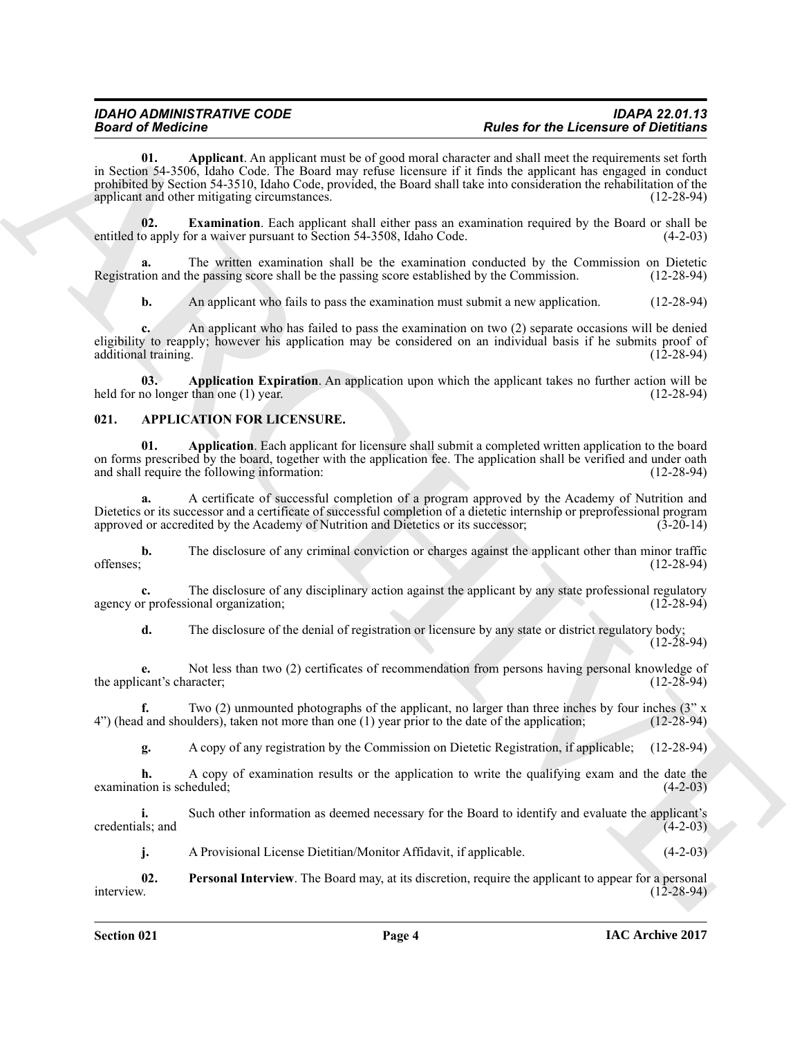**Beard of Modelness Analysis and Architects and Architects and Architects and Architects and Architects and Architects and Architects and Architects and Architects and Architects and Architects and Architects and Architec 01. Applicant**. An applicant must be of good moral character and shall meet the requirements set forth in Section 54-3506, Idaho Code. The Board may refuse licensure if it finds the applicant has engaged in conduct prohibited by Section 54-3510, Idaho Code, provided, the Board shall take into consideration the rehabilitation of the applicant and other mitigating circumstances. (12-28-94)

<span id="page-3-6"></span><span id="page-3-4"></span>**02. Examination**. Each applicant shall either pass an examination required by the Board or shall be to apply for a waiver pursuant to Section 54-3508, Idaho Code. (4-2-03) entitled to apply for a waiver pursuant to Section 54-3508, Idaho Code.

**a.** The written examination shall be the examination conducted by the Commission on Dietetic Registration and the passing score shall be the passing score established by the Commission. (12-28-94)

<span id="page-3-5"></span>**b.** An applicant who fails to pass the examination must submit a new application. (12-28-94)

**c.** An applicant who has failed to pass the examination on two (2) separate occasions will be denied eligibility to reapply; however his application may be considered on an individual basis if he submits proof of additional training. (12-28-94) additional training.

**03. Application Expiration**. An application upon which the applicant takes no further action will be held for no longer than one (1) year. (12-28-94)

#### <span id="page-3-1"></span><span id="page-3-0"></span>**021. APPLICATION FOR LICENSURE.**

<span id="page-3-2"></span>**01. Application**. Each applicant for licensure shall submit a completed written application to the board on forms prescribed by the board, together with the application fee. The application shall be verified and under oath and shall require the following information: (12-28-94) and shall require the following information:

**a.** A certificate of successful completion of a program approved by the Academy of Nutrition and Dietetics or its successor and a certificate of successful completion of a dietetic internship or preprofessional program approved or accredited by the Academy of Nutrition and Dietetics or its successor; (3-20-14) approved or accredited by the Academy of Nutrition and Dietetics or its successor;

**b.** The disclosure of any criminal conviction or charges against the applicant other than minor traffic offenses; (12-28-94)  $0$  offenses;  $(12-28-94)$ 

**c.** The disclosure of any disciplinary action against the applicant by any state professional regulatory or professional organization; (12-28-94) agency or professional organization;

**d.** The disclosure of the denial of registration or licensure by any state or district regulatory body; (12-28-94)

**e.** Not less than two (2) certificates of recommendation from persons having personal knowledge of cant's character; (12-28-94) the applicant's character;

**f.** Two (2) unmounted photographs of the applicant, no larger than three inches by four inches (3" x d and shoulders), taken not more than one (1) year prior to the date of the application; (12-28-94)  $4"$ ) (head and shoulders), taken not more than one (1) year prior to the date of the application;

**g.** A copy of any registration by the Commission on Dietetic Registration, if applicable; (12-28-94)

**h.** A copy of examination results or the application to write the qualifying exam and the date the tion is scheduled; (4-2-03) examination is scheduled;

**i.** Such other information as deemed necessary for the Board to identify and evaluate the applicant's credentials; and (4-2-03)

<span id="page-3-3"></span>**j.** A Provisional License Dietitian/Monitor Affidavit, if applicable. (4-2-03)

**02.** Personal Interview. The Board may, at its discretion, require the applicant to appear for a personal interview. (12-28-94) interview. (12-28-94)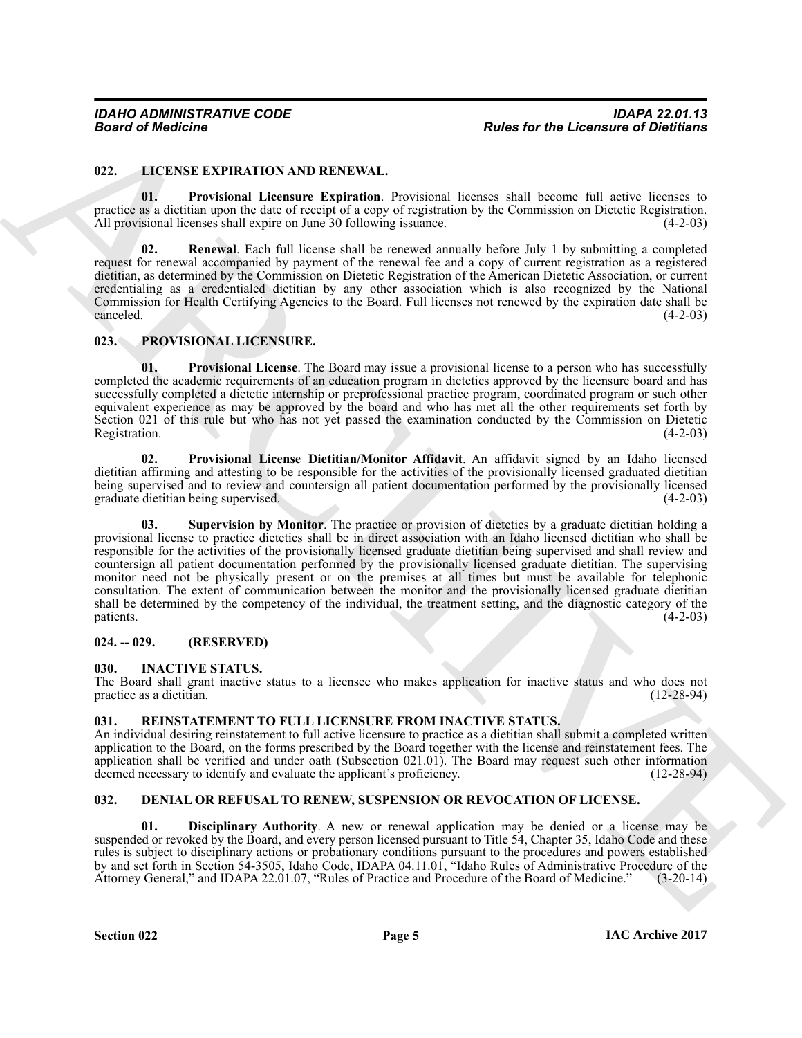#### <span id="page-4-9"></span><span id="page-4-0"></span>**022. LICENSE EXPIRATION AND RENEWAL.**

<span id="page-4-10"></span>**01. Provisional Licensure Expiration**. Provisional licenses shall become full active licenses to practice as a dietitian upon the date of receipt of a copy of registration by the Commission on Dietetic Registration. All provisional licenses shall expire on June 30 following issuance. (4-2-03)

<span id="page-4-11"></span>**02. Renewal**. Each full license shall be renewed annually before July 1 by submitting a completed request for renewal accompanied by payment of the renewal fee and a copy of current registration as a registered dietitian, as determined by the Commission on Dietetic Registration of the American Dietetic Association, or current credentialing as a credentialed dietitian by any other association which is also recognized by the National Commission for Health Certifying Agencies to the Board. Full licenses not renewed by the expiration date shall be  $\alpha$  canceled.  $(4-2-03)$ 

#### <span id="page-4-12"></span><span id="page-4-1"></span>**023. PROVISIONAL LICENSURE.**

<span id="page-4-13"></span>**01. Provisional License**. The Board may issue a provisional license to a person who has successfully completed the academic requirements of an education program in dietetics approved by the licensure board and has successfully completed a dietetic internship or preprofessional practice program, coordinated program or such other equivalent experience as may be approved by the board and who has met all the other requirements set forth by Section 021 of this rule but who has not yet passed the examination conducted by the Commission on Dietetic Registration. (4-2-03) Registration. (4-2-03)

<span id="page-4-15"></span><span id="page-4-14"></span>**02. Provisional License Dietitian/Monitor Affidavit**. An affidavit signed by an Idaho licensed dietitian affirming and attesting to be responsible for the activities of the provisionally licensed graduated dietitian being supervised and to review and countersign all patient documentation performed by the provisionally licensed graduate dietitian being supervised. (4-2-03) graduate dietitian being supervised.

**Fraction of European Control Control Control Control Control Control Control Control Control Control Control Control Control Control Control Control Control Control Control Control Control Control Control Control Control Supervision by Monitor**. The practice or provision of dietetics by a graduate dietitian holding a provisional license to practice dietetics shall be in direct association with an Idaho licensed dietitian who shall be responsible for the activities of the provisionally licensed graduate dietitian being supervised and shall review and countersign all patient documentation performed by the provisionally licensed graduate dietitian. The supervising monitor need not be physically present or on the premises at all times but must be available for telephonic consultation. The extent of communication between the monitor and the provisionally licensed graduate dietitian shall be determined by the competency of the individual, the treatment setting, and the diagnostic category of the patients. (4-2-03)  $p_{\text{atients.}}$  (4-2-03)

#### <span id="page-4-2"></span>**024. -- 029. (RESERVED)**

#### <span id="page-4-8"></span><span id="page-4-3"></span>**030. INACTIVE STATUS.**

The Board shall grant inactive status to a licensee who makes application for inactive status and who does not practice as a dietitian.

#### <span id="page-4-16"></span><span id="page-4-4"></span>**031. REINSTATEMENT TO FULL LICENSURE FROM INACTIVE STATUS.**

An individual desiring reinstatement to full active licensure to practice as a dietitian shall submit a completed written application to the Board, on the forms prescribed by the Board together with the license and reinstatement fees. The application shall be verified and under oath (Subsection 021.01). The Board may request such other information deemed necessary to identify and evaluate the applicant's proficiency. (12-28-94)

#### <span id="page-4-6"></span><span id="page-4-5"></span>**032. DENIAL OR REFUSAL TO RENEW, SUSPENSION OR REVOCATION OF LICENSE.**

<span id="page-4-7"></span>**Disciplinary Authority**. A new or renewal application may be denied or a license may be suspended or revoked by the Board, and every person licensed pursuant to Title 54, Chapter 35, Idaho Code and these rules is subject to disciplinary actions or probationary conditions pursuant to the procedures and powers established by and set forth in Section 54-3505, Idaho Code, IDAPA 04.11.01, "Idaho Rules of Administrative Procedure of the Attorney General," and IDAPA 22.01.07, "Rules of Practice and Procedure of the Board of Medicine." (3-20-14)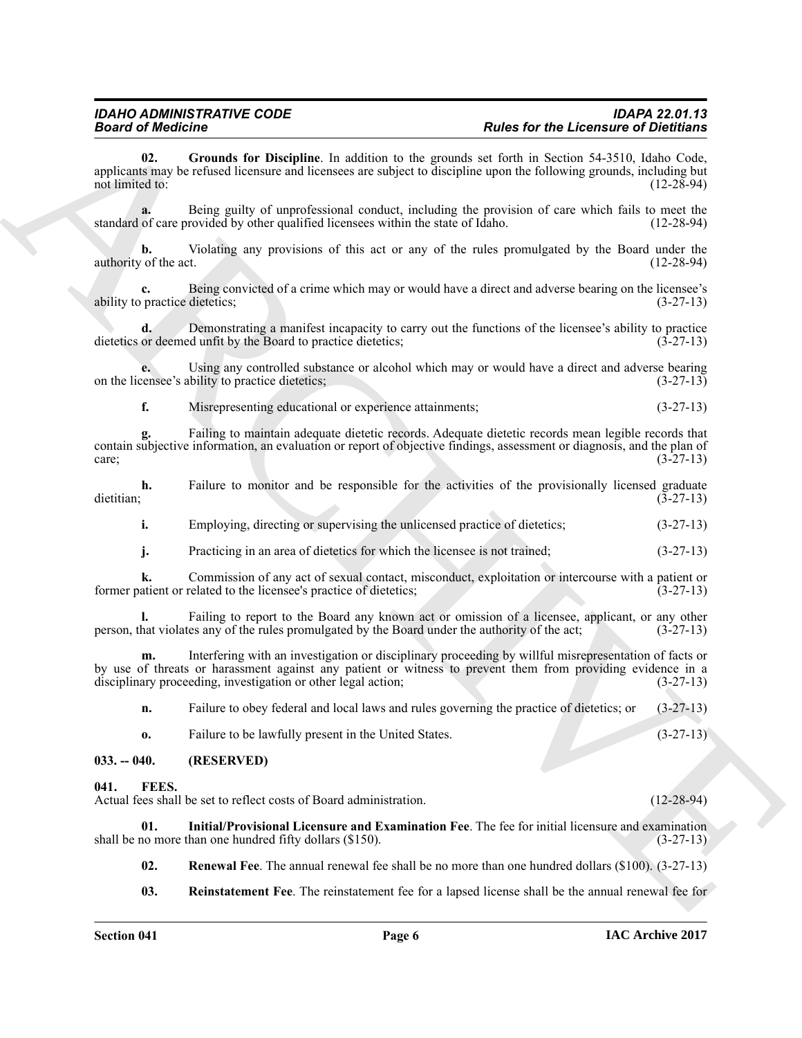**Example the definite properties** the halon in the spansher of the formula from the spansher of the formula from the spansher of the spansher of the spansher of the spansher of the spansher of the spansher of the spansher **02. Grounds for Discipline**. In addition to the grounds set forth in Section 54-3510, Idaho Code, applicants may be refused licensure and licensees are subject to discipline upon the following grounds, including but not limited to:

<span id="page-5-2"></span>**a.** Being guilty of unprofessional conduct, including the provision of care which fails to meet the of care provided by other qualified licensees within the state of Idaho. (12-28-94) standard of care provided by other qualified licensees within the state of Idaho.

**b.** Violating any provisions of this act or any of the rules promulgated by the Board under the of the act. (12-28-94) authority of the act.

**c.** Being convicted of a crime which may or would have a direct and adverse bearing on the licensee's practice dietetics; (3-27-13) ability to practice dietetics;

**d.** Demonstrating a manifest incapacity to carry out the functions of the licensee's ability to practice dietetics or deemed unfit by the Board to practice dietetics; (3-27-13)

**e.** Using any controlled substance or alcohol which may or would have a direct and adverse bearing censee's ability to practice dietetics; on the licensee's ability to practice dietetics;

**f.** Misrepresenting educational or experience attainments;  $(3-27-13)$ 

**g.** Failing to maintain adequate dietetic records. Adequate dietetic records mean legible records that contain subjective information, an evaluation or report of objective findings, assessment or diagnosis, and the plan of care;<br>(3-27-13)  $\c{c}$  (3-27-13)

**h.** Failure to monitor and be responsible for the activities of the provisionally licensed graduate dietitian; (3-27-13) dietitian; (3-27-13)

**i.** Employing, directing or supervising the unlicensed practice of dietetics;  $(3-27-13)$ 

**j.** Practicing in an area of dietetics for which the licensee is not trained;  $(3-27-13)$ 

**k.** Commission of any act of sexual contact, misconduct, exploitation or intercourse with a patient or related to the licensee's practice of dietetics; (3-27-13) former patient or related to the licensee's practice of dietetics;

**l.** Failing to report to the Board any known act or omission of a licensee, applicant, or any other hat violates any of the rules promulgated by the Board under the authority of the act:  $(3-27-13)$ person, that violates any of the rules promulgated by the Board under the authority of the act; (3-27-13)

**m.** Interfering with an investigation or disciplinary proceeding by willful misrepresentation of facts or by use of threats or harassment against any patient or witness to prevent them from providing evidence in a disciplinary proceeding, investigation or other legal action; (3-27-13) disciplinary proceeding, investigation or other legal action;

**n.** Failure to obey federal and local laws and rules governing the practice of dietetics; or (3-27-13)

<span id="page-5-3"></span>**o.** Failure to be lawfully present in the United States. (3-27-13)

#### <span id="page-5-0"></span>**033. -- 040. (RESERVED)**

#### <span id="page-5-1"></span>**041. FEES.**

Actual fees shall be set to reflect costs of Board administration. (12-28-94)

**01.** Initial/Provisional Licensure and Examination Fee. The fee for initial licensure and examination no more than one hundred fifty dollars (\$150). shall be no more than one hundred fifty dollars  $(\$150)$ .

<span id="page-5-6"></span><span id="page-5-4"></span>**02. Renewal Fee**. The annual renewal fee shall be no more than one hundred dollars (\$100). (3-27-13)

<span id="page-5-5"></span>**03. Reinstatement Fee**. The reinstatement fee for a lapsed license shall be the annual renewal fee for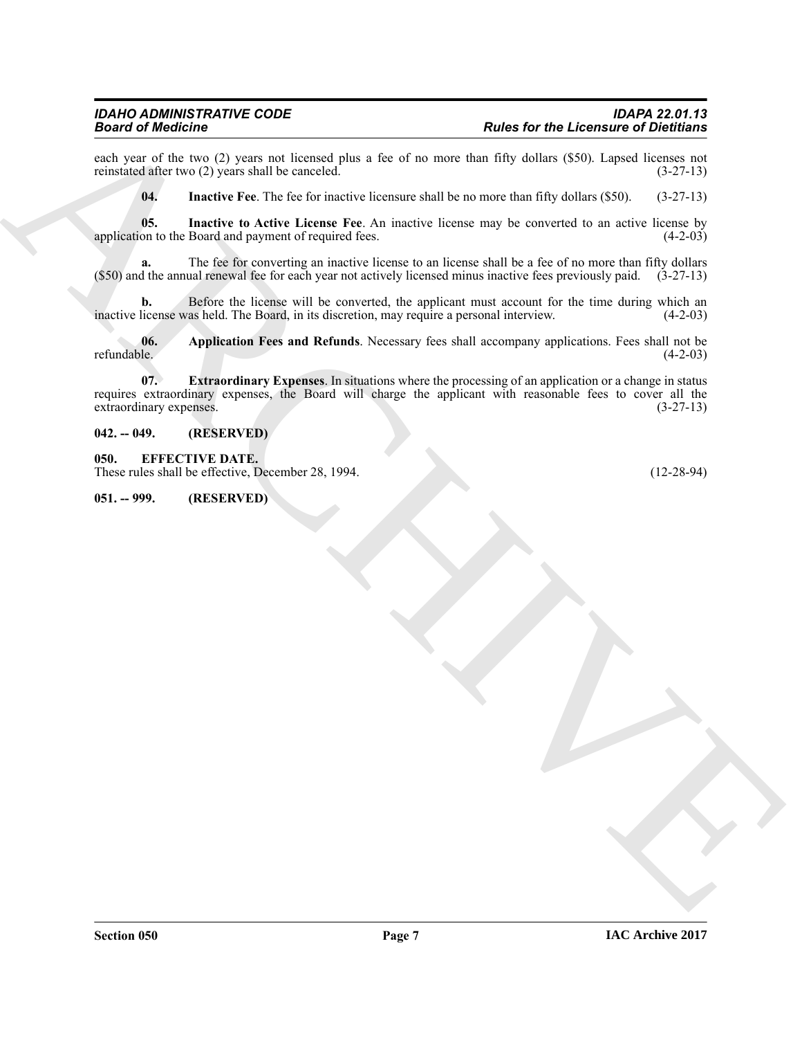each year of the two (2) years not licensed plus a fee of no more than fifty dollars (\$50). Lapsed licenses not reinstated after two (2) years shall be canceled. (3-27-13) reinstated after two  $(2)$  years shall be canceled.

<span id="page-6-6"></span><span id="page-6-5"></span>**04. Inactive Fee**. The fee for inactive licensure shall be no more than fifty dollars (\$50). (3-27-13)

**05.** Inactive to Active License Fee. An inactive license may be converted to an active license by on to the Board and payment of required fees.  $(4-2-03)$ application to the Board and payment of required fees.

**a.** The fee for converting an inactive license to an license shall be a fee of no more than fifty dollars (\$50) and the annual renewal fee for each year not actively licensed minus inactive fees previously paid. (3-27-13)

**b.** Before the license will be converted, the applicant must account for the time during which an license was held. The Board, in its discretion, may require a personal interview. (4-2-03) inactive license was held. The Board, in its discretion, may require a personal interview.

<span id="page-6-4"></span><span id="page-6-3"></span>**06.** Application Fees and Refunds. Necessary fees shall accompany applications. Fees shall not be refundable. (4-2-03) refundable. (4-2-03)

**Business for the Licenses of Distribution**<br> **ARCHIVES ARCHIVES AND ARCHIVES ARCHIVES AND ARCHIVES ARCHIVES AND SURFACE AND ARCHIVES ARCHIVES AND ARCHIVES ARCHIVES AND ARCHIVES ARCHIVES AND ARCHIVES ARCHIVES AND ARCHIVES 07. Extraordinary Expenses**. In situations where the processing of an application or a change in status requires extraordinary expenses, the Board will charge the applicant with reasonable fees to cover all the extraordinary expenses. (3-27-13) extraordinary expenses.

#### <span id="page-6-0"></span>**042. -- 049. (RESERVED)**

<span id="page-6-1"></span>**050. EFFECTIVE DATE.**

These rules shall be effective, December 28, 1994. (12-28-94)

<span id="page-6-2"></span>**051. -- 999. (RESERVED)**